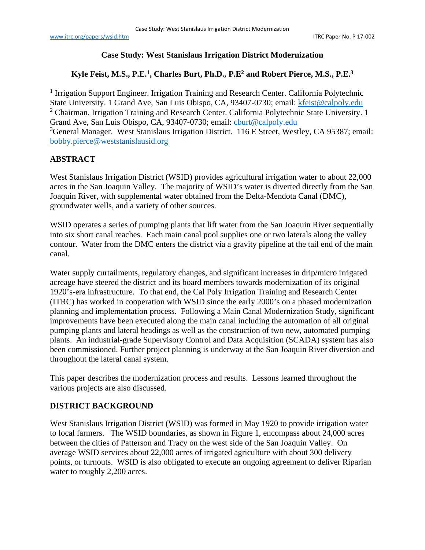#### **Case Study: West Stanislaus Irrigation District Modernization**

# **Kyle Feist, M.S., P.E.1 , Charles Burt, Ph.D., P.E2 and Robert Pierce, M.S., P.E.3**

<sup>1</sup> Irrigation Support Engineer. Irrigation Training and Research Center. California Polytechnic State University. 1 Grand Ave, San Luis Obispo, CA, 93407-0730; email: [kfeist@calpoly.edu](mailto:kfeist@calpoly.edu) <sup>2</sup> Chairman. Irrigation Training and Research Center. California Polytechnic State University. 1 Grand Ave, San Luis Obispo, CA, 93407-0730; email: [cburt@calpoly.edu](mailto:cburt@calpoly.edu) 3 <sup>3</sup>General Manager. West Stanislaus Irrigation District. 116 E Street, Westley, CA 95387; email: [bobby.pierce@weststanislausid.org](mailto:bobby.pierce@weststanislausid.org)

#### **ABSTRACT**

West Stanislaus Irrigation District (WSID) provides agricultural irrigation water to about 22,000 acres in the San Joaquin Valley. The majority of WSID's water is diverted directly from the San Joaquin River, with supplemental water obtained from the Delta-Mendota Canal (DMC), groundwater wells, and a variety of other sources.

WSID operates a series of pumping plants that lift water from the San Joaquin River sequentially into six short canal reaches. Each main canal pool supplies one or two laterals along the valley contour. Water from the DMC enters the district via a gravity pipeline at the tail end of the main canal.

Water supply curtailments, regulatory changes, and significant increases in drip/micro irrigated acreage have steered the district and its board members towards modernization of its original 1920's-era infrastructure. To that end, the Cal Poly Irrigation Training and Research Center (ITRC) has worked in cooperation with WSID since the early 2000's on a phased modernization planning and implementation process. Following a Main Canal Modernization Study, significant improvements have been executed along the main canal including the automation of all original pumping plants and lateral headings as well as the construction of two new, automated pumping plants. An industrial-grade Supervisory Control and Data Acquisition (SCADA) system has also been commissioned. Further project planning is underway at the San Joaquin River diversion and throughout the lateral canal system.

This paper describes the modernization process and results. Lessons learned throughout the various projects are also discussed.

#### **DISTRICT BACKGROUND**

West Stanislaus Irrigation District (WSID) was formed in May 1920 to provide irrigation water to local farmers. The WSID boundaries, as shown in [Figure 1,](#page-1-0) encompass about 24,000 acres between the cities of Patterson and Tracy on the west side of the San Joaquin Valley. On average WSID services about 22,000 acres of irrigated agriculture with about 300 delivery points, or turnouts. WSID is also obligated to execute an ongoing agreement to deliver Riparian water to roughly 2,200 acres.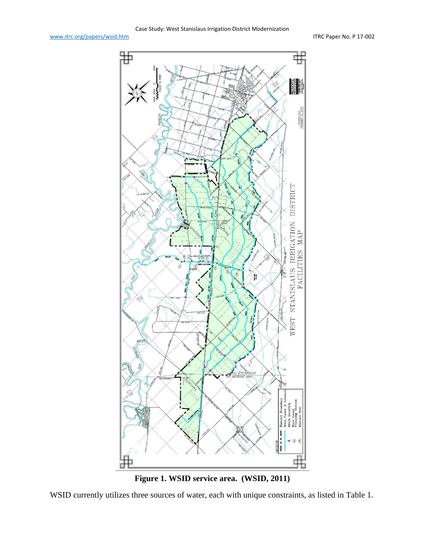



<span id="page-1-0"></span>WSID currently utilizes three sources of water, each with unique constraints, as listed in [Table 1.](#page-2-0)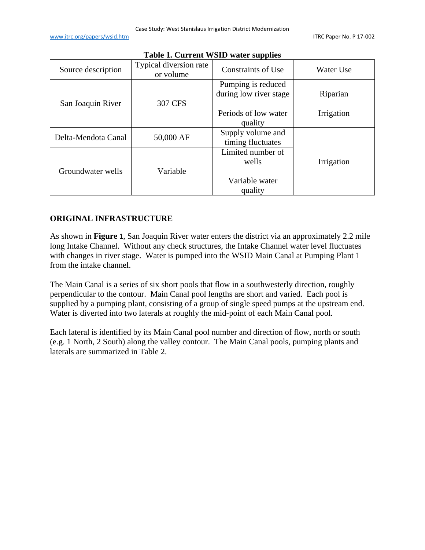<span id="page-2-0"></span>

| Source description  | Typical diversion rate<br>or volume | Constraints of Use                           | Water Use  |
|---------------------|-------------------------------------|----------------------------------------------|------------|
| San Joaquin River   | 307 CFS                             | Pumping is reduced<br>during low river stage | Riparian   |
|                     |                                     | Periods of low water<br>quality              | Irrigation |
| Delta-Mendota Canal | 50,000 AF                           | Supply volume and<br>timing fluctuates       |            |
| Groundwater wells   | Variable                            | Limited number of<br>wells                   | Irrigation |
|                     |                                     | Variable water<br>quality                    |            |

#### **Table 1. Current WSID water supplies**

## **ORIGINAL INFRASTRUCTURE**

As shown in **[Figure](#page-1-0)** 1, San Joaquin River water enters the district via an approximately 2.2 mile long Intake Channel. Without any check structures, the Intake Channel water level fluctuates with changes in river stage. Water is pumped into the WSID Main Canal at Pumping Plant 1 from the intake channel.

The Main Canal is a series of six short pools that flow in a southwesterly direction, roughly perpendicular to the contour. Main Canal pool lengths are short and varied. Each pool is supplied by a pumping plant, consisting of a group of single speed pumps at the upstream end. Water is diverted into two laterals at roughly the mid-point of each Main Canal pool.

Each lateral is identified by its Main Canal pool number and direction of flow, north or south (e.g. 1 North, 2 South) along the valley contour. The Main Canal pools, pumping plants and laterals are summarized in [Table 2.](#page-3-0)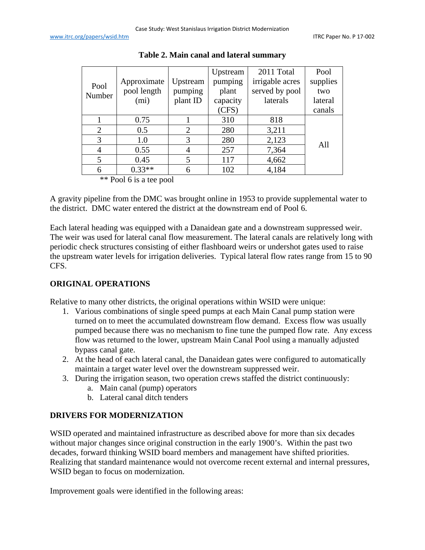<span id="page-3-0"></span>

|                   |                | Upstream | 2011 Total      | Pool     |
|-------------------|----------------|----------|-----------------|----------|
| Approximate       | Upstream       | pumping  | irrigable acres | supplies |
| pool length       | pumping        | plant    | served by pool  | two      |
| (m <sub>i</sub> ) | plant ID       | capacity | laterals        | lateral  |
|                   |                | (CFS)    |                 | canals   |
| 0.75              |                | 310      | 818             |          |
| 0.5               | $\overline{2}$ | 280      | 3,211           |          |
| 1.0               | 3              | 280      | 2,123           |          |
| 0.55              | 4              | 257      | 7,364           | All      |
| 0.45              | 5              | 117      | 4,662           |          |
| $0.33**$          | 6              | 102      | 4,184           |          |
|                   |                |          |                 |          |

**Table 2. Main canal and lateral summary**

\*\* Pool 6 is a tee pool

A gravity pipeline from the DMC was brought online in 1953 to provide supplemental water to the district. DMC water entered the district at the downstream end of Pool 6.

Each lateral heading was equipped with a Danaidean gate and a downstream suppressed weir. The weir was used for lateral canal flow measurement. The lateral canals are relatively long with periodic check structures consisting of either flashboard weirs or undershot gates used to raise the upstream water levels for irrigation deliveries. Typical lateral flow rates range from 15 to 90 CFS.

# **ORIGINAL OPERATIONS**

Relative to many other districts, the original operations within WSID were unique:

- 1. Various combinations of single speed pumps at each Main Canal pump station were turned on to meet the accumulated downstream flow demand. Excess flow was usually pumped because there was no mechanism to fine tune the pumped flow rate. Any excess flow was returned to the lower, upstream Main Canal Pool using a manually adjusted bypass canal gate.
- 2. At the head of each lateral canal, the Danaidean gates were configured to automatically maintain a target water level over the downstream suppressed weir.
- 3. During the irrigation season, two operation crews staffed the district continuously:
	- a. Main canal (pump) operators
	- b. Lateral canal ditch tenders

# **DRIVERS FOR MODERNIZATION**

WSID operated and maintained infrastructure as described above for more than six decades without major changes since original construction in the early 1900's. Within the past two decades, forward thinking WSID board members and management have shifted priorities. Realizing that standard maintenance would not overcome recent external and internal pressures, WSID began to focus on modernization.

Improvement goals were identified in the following areas: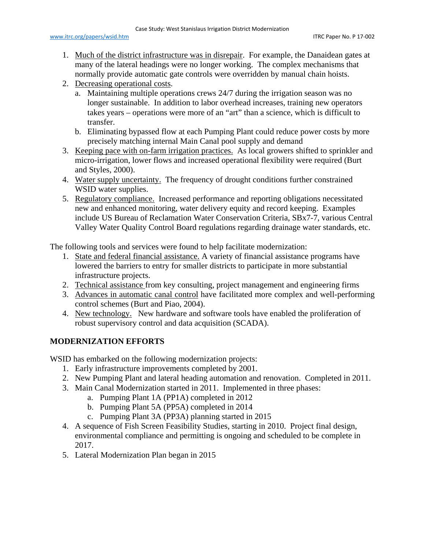- 1. Much of the district infrastructure was in disrepair. For example, the Danaidean gates at many of the lateral headings were no longer working. The complex mechanisms that normally provide automatic gate controls were overridden by manual chain hoists.
- 2. Decreasing operational costs.
	- a. Maintaining multiple operations crews 24/7 during the irrigation season was no longer sustainable. In addition to labor overhead increases, training new operators takes years – operations were more of an "art" than a science, which is difficult to transfer.
	- b. Eliminating bypassed flow at each Pumping Plant could reduce power costs by more precisely matching internal Main Canal pool supply and demand
- 3. Keeping pace with on-farm irrigation practices. As local growers shifted to sprinkler and micro-irrigation, lower flows and increased operational flexibility were required (Burt and Styles, 2000).
- 4. Water supply uncertainty. The frequency of drought conditions further constrained WSID water supplies.
- 5. Regulatory compliance. Increased performance and reporting obligations necessitated new and enhanced monitoring, water delivery equity and record keeping. Examples include US Bureau of Reclamation Water Conservation Criteria, SBx7-7, various Central Valley Water Quality Control Board regulations regarding drainage water standards, etc.

The following tools and services were found to help facilitate modernization:

- 1. State and federal financial assistance. A variety of financial assistance programs have lowered the barriers to entry for smaller districts to participate in more substantial infrastructure projects.
- 2. Technical assistance from key consulting, project management and engineering firms
- 3. Advances in automatic canal control have facilitated more complex and well-performing control schemes (Burt and Piao, 2004).
- 4. New technology. New hardware and software tools have enabled the proliferation of robust supervisory control and data acquisition (SCADA).

# **MODERNIZATION EFFORTS**

WSID has embarked on the following modernization projects:

- 1. Early infrastructure improvements completed by 2001.
- 2. New Pumping Plant and lateral heading automation and renovation. Completed in 2011.
- 3. Main Canal Modernization started in 2011. Implemented in three phases:
	- a. Pumping Plant 1A (PP1A) completed in 2012
	- b. Pumping Plant 5A (PP5A) completed in 2014
	- c. Pumping Plant 3A (PP3A) planning started in 2015
- 4. A sequence of Fish Screen Feasibility Studies, starting in 2010. Project final design, environmental compliance and permitting is ongoing and scheduled to be complete in 2017.
- 5. Lateral Modernization Plan began in 2015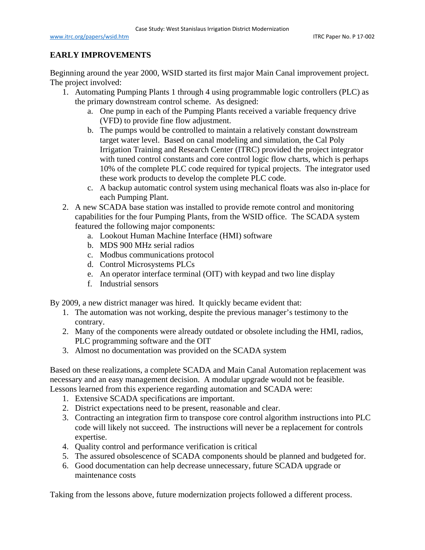## **EARLY IMPROVEMENTS**

Beginning around the year 2000, WSID started its first major Main Canal improvement project. The project involved:

- 1. Automating Pumping Plants 1 through 4 using programmable logic controllers (PLC) as the primary downstream control scheme. As designed:
	- a. One pump in each of the Pumping Plants received a variable frequency drive (VFD) to provide fine flow adjustment.
	- b. The pumps would be controlled to maintain a relatively constant downstream target water level. Based on canal modeling and simulation, the Cal Poly Irrigation Training and Research Center (ITRC) provided the project integrator with tuned control constants and core control logic flow charts, which is perhaps 10% of the complete PLC code required for typical projects. The integrator used these work products to develop the complete PLC code.
	- c. A backup automatic control system using mechanical floats was also in-place for each Pumping Plant.
- 2. A new SCADA base station was installed to provide remote control and monitoring capabilities for the four Pumping Plants, from the WSID office. The SCADA system featured the following major components:
	- a. Lookout Human Machine Interface (HMI) software
	- b. MDS 900 MHz serial radios
	- c. Modbus communications protocol
	- d. Control Microsystems PLCs
	- e. An operator interface terminal (OIT) with keypad and two line display
	- f. Industrial sensors

By 2009, a new district manager was hired. It quickly became evident that:

- 1. The automation was not working, despite the previous manager's testimony to the contrary.
- 2. Many of the components were already outdated or obsolete including the HMI, radios, PLC programming software and the OIT
- 3. Almost no documentation was provided on the SCADA system

Based on these realizations, a complete SCADA and Main Canal Automation replacement was necessary and an easy management decision. A modular upgrade would not be feasible. Lessons learned from this experience regarding automation and SCADA were:

- 1. Extensive SCADA specifications are important.
- 2. District expectations need to be present, reasonable and clear.
- 3. Contracting an integration firm to transpose core control algorithm instructions into PLC code will likely not succeed. The instructions will never be a replacement for controls expertise.
- 4. Quality control and performance verification is critical
- 5. The assured obsolescence of SCADA components should be planned and budgeted for.
- 6. Good documentation can help decrease unnecessary, future SCADA upgrade or maintenance costs

Taking from the lessons above, future modernization projects followed a different process.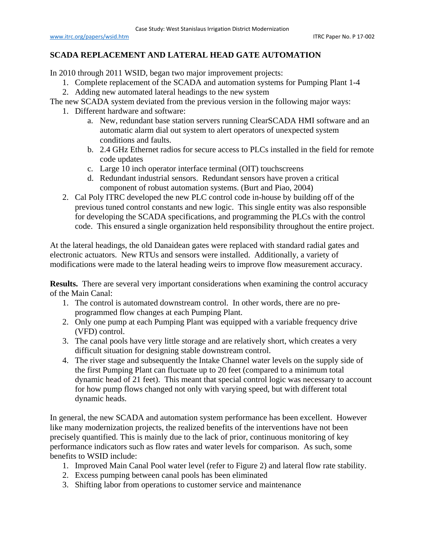## **SCADA REPLACEMENT AND LATERAL HEAD GATE AUTOMATION**

In 2010 through 2011 WSID, began two major improvement projects:

- 1. Complete replacement of the SCADA and automation systems for Pumping Plant 1-4
- 2. Adding new automated lateral headings to the new system

The new SCADA system deviated from the previous version in the following major ways:

- 1. Different hardware and software:
	- a. New, redundant base station servers running ClearSCADA HMI software and an automatic alarm dial out system to alert operators of unexpected system conditions and faults.
	- b. 2.4 GHz Ethernet radios for secure access to PLCs installed in the field for remote code updates
	- c. Large 10 inch operator interface terminal (OIT) touchscreens
	- d. Redundant industrial sensors. Redundant sensors have proven a critical component of robust automation systems. (Burt and Piao, 2004)
- 2. Cal Poly ITRC developed the new PLC control code in-house by building off of the previous tuned control constants and new logic. This single entity was also responsible for developing the SCADA specifications, and programming the PLCs with the control code. This ensured a single organization held responsibility throughout the entire project.

At the lateral headings, the old Danaidean gates were replaced with standard radial gates and electronic actuators. New RTUs and sensors were installed. Additionally, a variety of modifications were made to the lateral heading weirs to improve flow measurement accuracy.

**Results.** There are several very important considerations when examining the control accuracy of the Main Canal:

- 1. The control is automated downstream control. In other words, there are no preprogrammed flow changes at each Pumping Plant.
- 2. Only one pump at each Pumping Plant was equipped with a variable frequency drive (VFD) control.
- 3. The canal pools have very little storage and are relatively short, which creates a very difficult situation for designing stable downstream control.
- 4. The river stage and subsequently the Intake Channel water levels on the supply side of the first Pumping Plant can fluctuate up to 20 feet (compared to a minimum total dynamic head of 21 feet). This meant that special control logic was necessary to account for how pump flows changed not only with varying speed, but with different total dynamic heads.

In general, the new SCADA and automation system performance has been excellent. However like many modernization projects, the realized benefits of the interventions have not been precisely quantified. This is mainly due to the lack of prior, continuous monitoring of key performance indicators such as flow rates and water levels for comparison. As such, some benefits to WSID include:

- 1. Improved Main Canal Pool water level (refer to [Figure 2\)](#page-7-0) and lateral flow rate stability.
- 2. Excess pumping between canal pools has been eliminated
- 3. Shifting labor from operations to customer service and maintenance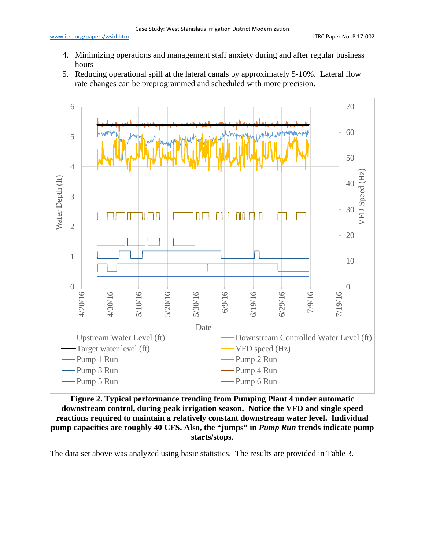- 4. Minimizing operations and management staff anxiety during and after regular business hours
- 5. Reducing operational spill at the lateral canals by approximately 5-10%. Lateral flow rate changes can be preprogrammed and scheduled with more precision.



<span id="page-7-0"></span>**Figure 2. Typical performance trending from Pumping Plant 4 under automatic downstream control, during peak irrigation season. Notice the VFD and single speed reactions required to maintain a relatively constant downstream water level. Individual pump capacities are roughly 40 CFS. Also, the "jumps" in** *Pump Run* **trends indicate pump starts/stops.**

The data set above was analyzed using basic statistics. The results are provided in [Table 3.](#page-8-0)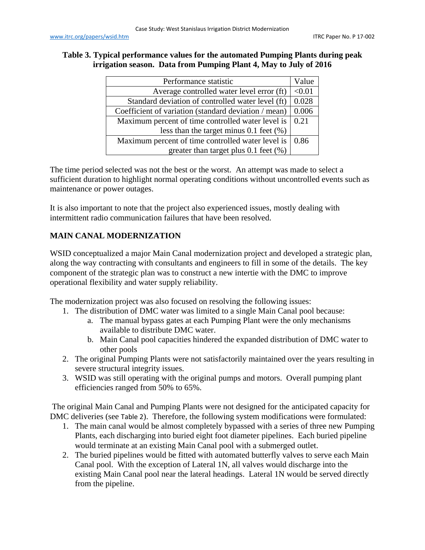### <span id="page-8-0"></span>**Table 3. Typical performance values for the automated Pumping Plants during peak irrigation season. Data from Pumping Plant 4, May to July of 2016**

| Performance statistic                                                  |       |  |
|------------------------------------------------------------------------|-------|--|
| Average controlled water level error (ft)                              |       |  |
| Standard deviation of controlled water level (ft)                      | 0.028 |  |
| Coefficient of variation (standard deviation / mean)<br>0.006          |       |  |
| Maximum percent of time controlled water level is $\vert 0.21 \rangle$ |       |  |
| less than the target minus $0.1$ feet $(\%)$                           |       |  |
| Maximum percent of time controlled water level is                      |       |  |
| greater than target plus $0.1$ feet $(\%)$                             |       |  |

The time period selected was not the best or the worst. An attempt was made to select a sufficient duration to highlight normal operating conditions without uncontrolled events such as maintenance or power outages.

It is also important to note that the project also experienced issues, mostly dealing with intermittent radio communication failures that have been resolved.

# **MAIN CANAL MODERNIZATION**

WSID conceptualized a major Main Canal modernization project and developed a strategic plan, along the way contracting with consultants and engineers to fill in some of the details. The key component of the strategic plan was to construct a new intertie with the DMC to improve operational flexibility and water supply reliability.

The modernization project was also focused on resolving the following issues:

- 1. The distribution of DMC water was limited to a single Main Canal pool because:
	- a. The manual bypass gates at each Pumping Plant were the only mechanisms available to distribute DMC water.
	- b. Main Canal pool capacities hindered the expanded distribution of DMC water to other pools
- 2. The original Pumping Plants were not satisfactorily maintained over the years resulting in severe structural integrity issues.
- 3. WSID was still operating with the original pumps and motors. Overall pumping plant efficiencies ranged from 50% to 65%.

The original Main Canal and Pumping Plants were not designed for the anticipated capacity for DMC deliveries (see [Table 2](#page-3-0)). Therefore, the following system modifications were formulated:

- 1. The main canal would be almost completely bypassed with a series of three new Pumping Plants, each discharging into buried eight foot diameter pipelines. Each buried pipeline would terminate at an existing Main Canal pool with a submerged outlet.
- 2. The buried pipelines would be fitted with automated butterfly valves to serve each Main Canal pool. With the exception of Lateral 1N, all valves would discharge into the existing Main Canal pool near the lateral headings. Lateral 1N would be served directly from the pipeline.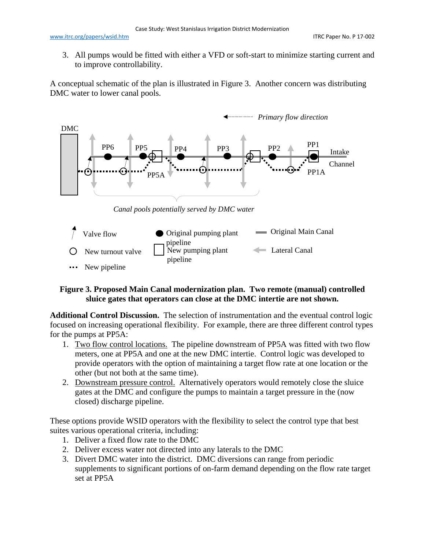3. All pumps would be fitted with either a VFD or soft-start to minimize starting current and to improve controllability.

A conceptual schematic of the plan is illustrated in [Figure 3.](#page-9-0) Another concern was distributing DMC water to lower canal pools.



*Canal pools potentially served by DMC water*



#### <span id="page-9-0"></span>**Figure 3. Proposed Main Canal modernization plan. Two remote (manual) controlled sluice gates that operators can close at the DMC intertie are not shown.**

**Additional Control Discussion.** The selection of instrumentation and the eventual control logic focused on increasing operational flexibility. For example, there are three different control types for the pumps at PP5A:

- 1. Two flow control locations. The pipeline downstream of PP5A was fitted with two flow meters, one at PP5A and one at the new DMC intertie. Control logic was developed to provide operators with the option of maintaining a target flow rate at one location or the other (but not both at the same time).
- 2. Downstream pressure control. Alternatively operators would remotely close the sluice gates at the DMC and configure the pumps to maintain a target pressure in the (now closed) discharge pipeline.

These options provide WSID operators with the flexibility to select the control type that best suites various operational criteria, including:

- 1. Deliver a fixed flow rate to the DMC
- 2. Deliver excess water not directed into any laterals to the DMC
- 3. Divert DMC water into the district. DMC diversions can range from periodic supplements to significant portions of on-farm demand depending on the flow rate target set at PP5A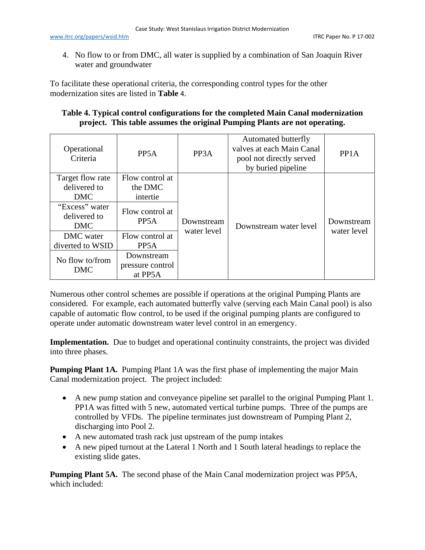4. No flow to or from DMC, all water is supplied by a combination of San Joaquin River water and groundwater

To facilitate these operational criteria, the corresponding control types for the other modernization sites are listed in **[Table](#page-10-0)** 4.

#### <span id="page-10-0"></span>**Table 4. Typical control configurations for the completed Main Canal modernization project. This table assumes the original Pumping Plants are not operating.**

| Operational<br>Criteria                        | PP <sub>5</sub> A                         | PP <sub>3</sub> A         | Automated butterfly<br>valves at each Main Canal<br>pool not directly served<br>by buried pipeline | PP <sub>1</sub> A         |
|------------------------------------------------|-------------------------------------------|---------------------------|----------------------------------------------------------------------------------------------------|---------------------------|
| Target flow rate<br>delivered to<br><b>DMC</b> | Flow control at<br>the DMC<br>intertie    |                           |                                                                                                    |                           |
| "Excess" water<br>delivered to<br><b>DMC</b>   | Flow control at<br>PP <sub>5</sub> A      | Downstream<br>water level | Downstream water level                                                                             | Downstream<br>water level |
| DMC water                                      | Flow control at                           |                           |                                                                                                    |                           |
| diverted to WSID                               | PP <sub>5</sub> A                         |                           |                                                                                                    |                           |
| No flow to/from<br>DMC                         | Downstream<br>pressure control<br>at PP5A |                           |                                                                                                    |                           |

Numerous other control schemes are possible if operations at the original Pumping Plants are considered. For example, each automated butterfly valve (serving each Main Canal pool) is also capable of automatic flow control, to be used if the original pumping plants are configured to operate under automatic downstream water level control in an emergency.

**Implementation.** Due to budget and operational continuity constraints, the project was divided into three phases.

**Pumping Plant 1A.** Pumping Plant 1A was the first phase of implementing the major Main Canal modernization project. The project included:

- A new pump station and conveyance pipeline set parallel to the original Pumping Plant 1. PP1A was fitted with 5 new, automated vertical turbine pumps. Three of the pumps are controlled by VFDs. The pipeline terminates just downstream of Pumping Plant 2, discharging into Pool 2.
- A new automated trash rack just upstream of the pump intakes
- A new piped turnout at the Lateral 1 North and 1 South lateral headings to replace the existing slide gates.

**Pumping Plant 5A.** The second phase of the Main Canal modernization project was PP5A, which included: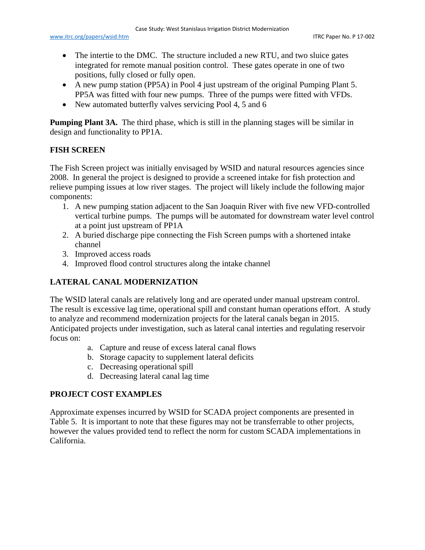- The intertie to the DMC. The structure included a new RTU, and two sluice gates integrated for remote manual position control. These gates operate in one of two positions, fully closed or fully open.
- A new pump station (PP5A) in Pool 4 just upstream of the original Pumping Plant 5. PP5A was fitted with four new pumps. Three of the pumps were fitted with VFDs.
- New automated butterfly valves servicing Pool 4, 5 and 6

**Pumping Plant 3A.** The third phase, which is still in the planning stages will be similar in design and functionality to PP1A.

## **FISH SCREEN**

The Fish Screen project was initially envisaged by WSID and natural resources agencies since 2008. In general the project is designed to provide a screened intake for fish protection and relieve pumping issues at low river stages. The project will likely include the following major components:

- 1. A new pumping station adjacent to the San Joaquin River with five new VFD-controlled vertical turbine pumps. The pumps will be automated for downstream water level control at a point just upstream of PP1A
- 2. A buried discharge pipe connecting the Fish Screen pumps with a shortened intake channel
- 3. Improved access roads
- 4. Improved flood control structures along the intake channel

# **LATERAL CANAL MODERNIZATION**

The WSID lateral canals are relatively long and are operated under manual upstream control. The result is excessive lag time, operational spill and constant human operations effort. A study to analyze and recommend modernization projects for the lateral canals began in 2015. Anticipated projects under investigation, such as lateral canal interties and regulating reservoir focus on:

- a. Capture and reuse of excess lateral canal flows
- b. Storage capacity to supplement lateral deficits
- c. Decreasing operational spill
- d. Decreasing lateral canal lag time

# **PROJECT COST EXAMPLES**

Approximate expenses incurred by WSID for SCADA project components are presented in [Table 5.](#page-12-0) It is important to note that these figures may not be transferrable to other projects, however the values provided tend to reflect the norm for custom SCADA implementations in California.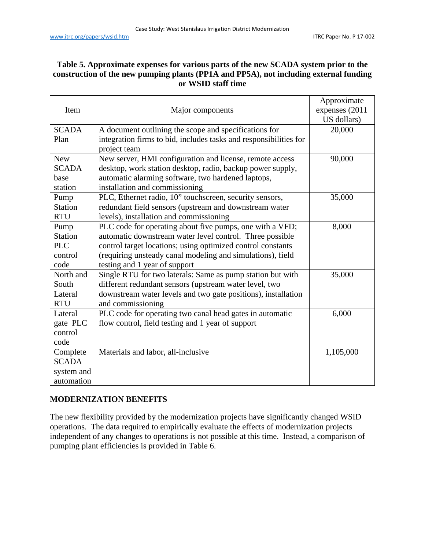## <span id="page-12-0"></span>**Table 5. Approximate expenses for various parts of the new SCADA system prior to the construction of the new pumping plants (PP1A and PP5A), not including external funding or WSID staff time**

| Item           | Major components                                                  | Approximate<br>expenses (2011 |
|----------------|-------------------------------------------------------------------|-------------------------------|
|                |                                                                   | US dollars)                   |
| <b>SCADA</b>   | A document outlining the scope and specifications for             | 20,000                        |
| Plan           | integration firms to bid, includes tasks and responsibilities for |                               |
|                | project team                                                      |                               |
| <b>New</b>     | New server, HMI configuration and license, remote access          | 90,000                        |
| <b>SCADA</b>   | desktop, work station desktop, radio, backup power supply,        |                               |
| base           | automatic alarming software, two hardened laptops,                |                               |
| station        | installation and commissioning                                    |                               |
| Pump           | PLC, Ethernet radio, 10" touchscreen, security sensors,           | 35,000                        |
| <b>Station</b> | redundant field sensors (upstream and downstream water            |                               |
| <b>RTU</b>     | levels), installation and commissioning                           |                               |
| Pump           | PLC code for operating about five pumps, one with a VFD;          | 8,000                         |
| <b>Station</b> | automatic downstream water level control. Three possible          |                               |
| <b>PLC</b>     | control target locations; using optimized control constants       |                               |
| control        | (requiring unsteady canal modeling and simulations), field        |                               |
| code           | testing and 1 year of support                                     |                               |
| North and      | Single RTU for two laterals: Same as pump station but with        | 35,000                        |
| South          | different redundant sensors (upstream water level, two            |                               |
| Lateral        | downstream water levels and two gate positions), installation     |                               |
| <b>RTU</b>     | and commissioning                                                 |                               |
| Lateral        | PLC code for operating two canal head gates in automatic          | 6,000                         |
| gate PLC       | flow control, field testing and 1 year of support                 |                               |
| control        |                                                                   |                               |
| code           |                                                                   |                               |
| Complete       | Materials and labor, all-inclusive                                | 1,105,000                     |
| <b>SCADA</b>   |                                                                   |                               |
| system and     |                                                                   |                               |
| automation     |                                                                   |                               |

## **MODERNIZATION BENEFITS**

The new flexibility provided by the modernization projects have significantly changed WSID operations. The data required to empirically evaluate the effects of modernization projects independent of any changes to operations is not possible at this time. Instead, a comparison of pumping plant efficiencies is provided in [Table 6.](#page-13-0)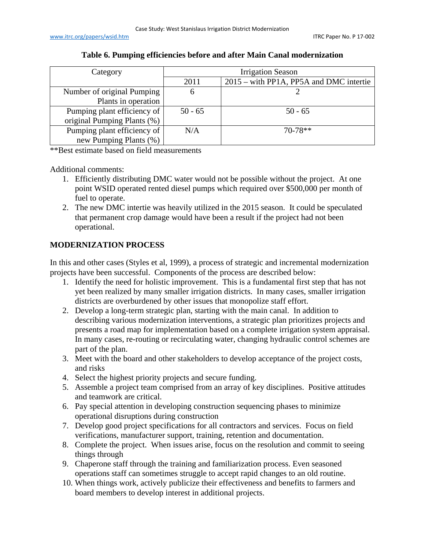<span id="page-13-0"></span>

| Category                    | <b>Irrigation Season</b> |                                         |  |
|-----------------------------|--------------------------|-----------------------------------------|--|
|                             | 2011                     | 2015 – with PP1A, PP5A and DMC intertie |  |
| Number of original Pumping  |                          |                                         |  |
| Plants in operation         |                          |                                         |  |
| Pumping plant efficiency of | $50 - 65$                | $50 - 65$                               |  |
| original Pumping Plants (%) |                          |                                         |  |
| Pumping plant efficiency of | N/A                      | $70-78**$                               |  |
| new Pumping Plants (%)      |                          |                                         |  |

#### **Table 6. Pumping efficiencies before and after Main Canal modernization**

\*\*Best estimate based on field measurements

Additional comments:

- 1. Efficiently distributing DMC water would not be possible without the project. At one point WSID operated rented diesel pumps which required over \$500,000 per month of fuel to operate.
- 2. The new DMC intertie was heavily utilized in the 2015 season. It could be speculated that permanent crop damage would have been a result if the project had not been operational.

# **MODERNIZATION PROCESS**

In this and other cases (Styles et al, 1999), a process of strategic and incremental modernization projects have been successful. Components of the process are described below:

- 1. Identify the need for holistic improvement. This is a fundamental first step that has not yet been realized by many smaller irrigation districts. In many cases, smaller irrigation districts are overburdened by other issues that monopolize staff effort.
- 2. Develop a long-term strategic plan, starting with the main canal. In addition to describing various modernization interventions, a strategic plan prioritizes projects and presents a road map for implementation based on a complete irrigation system appraisal. In many cases, re-routing or recirculating water, changing hydraulic control schemes are part of the plan.
- 3. Meet with the board and other stakeholders to develop acceptance of the project costs, and risks
- 4. Select the highest priority projects and secure funding.
- 5. Assemble a project team comprised from an array of key disciplines. Positive attitudes and teamwork are critical.
- 6. Pay special attention in developing construction sequencing phases to minimize operational disruptions during construction
- 7. Develop good project specifications for all contractors and services. Focus on field verifications, manufacturer support, training, retention and documentation.
- 8. Complete the project. When issues arise, focus on the resolution and commit to seeing things through
- 9. Chaperone staff through the training and familiarization process. Even seasoned operations staff can sometimes struggle to accept rapid changes to an old routine.
- 10. When things work, actively publicize their effectiveness and benefits to farmers and board members to develop interest in additional projects.